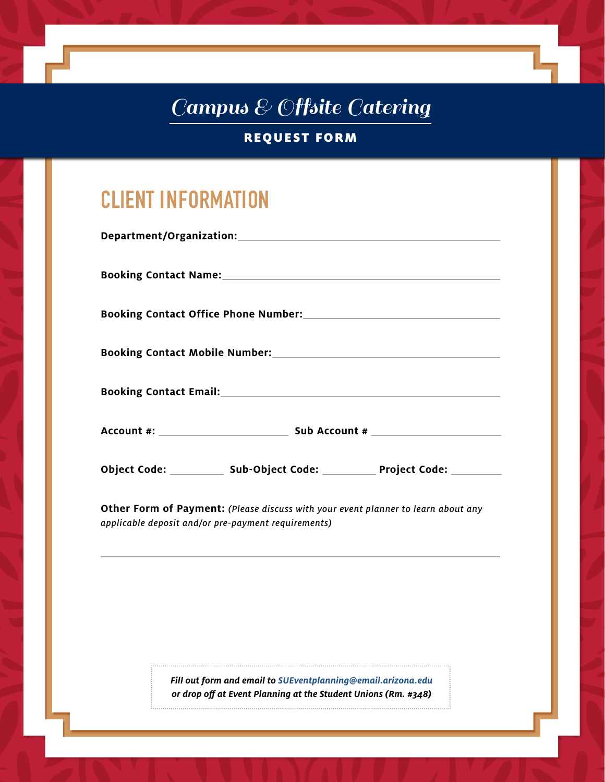# Campus & Offsite Catering

REQUEST FORM

# **CLIENT INFORMATION**

|                                                     | Booking Contact Name: 1999 - 1999 - 1999 - 1999 - 1999 - 1999 - 1999 - 1999 - 1999 - 1999 - 1999 - 1999 - 199 |                                                                                   |
|-----------------------------------------------------|---------------------------------------------------------------------------------------------------------------|-----------------------------------------------------------------------------------|
|                                                     |                                                                                                               | Booking Contact Office Phone Number: Name of Contract Office Phone Number:        |
|                                                     |                                                                                                               |                                                                                   |
|                                                     |                                                                                                               |                                                                                   |
|                                                     |                                                                                                               |                                                                                   |
|                                                     |                                                                                                               | Object Code: _____________ Sub-Object Code: ____________ Project Code: _________  |
| applicable deposit and/or pre-payment requirements) |                                                                                                               | Other Form of Payment: (Please discuss with your event planner to learn about any |

*Fill out form and email to SUEventplanning@email.arizona.edu or drop off at Event Planning at the Student Unions (Rm. #348)*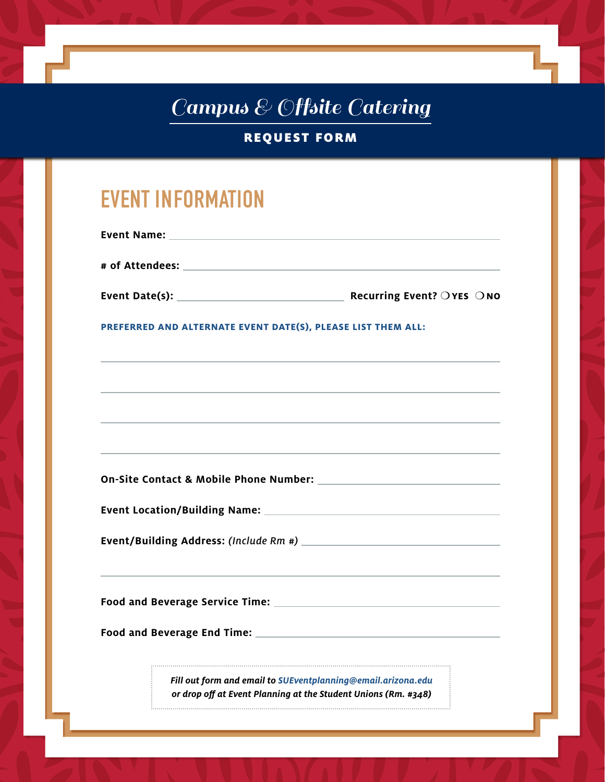# Campus & Offsite Catering

## REQUEST FORM

# **EVENT INFORMATION**

| PREFERRED AND ALTERNATE EVENT DATE(S), PLEASE LIST THEM ALL:                     |  |  |
|----------------------------------------------------------------------------------|--|--|
| ,我们也不会有什么。""我们的人,我们也不会有什么?""我们的人,我们也不会有什么?""我们的人,我们也不会有什么?""我们的人,我们也不会有什么?""我们的人 |  |  |
| ,我们也不会有什么。""我们的人,我们也不会有什么?""我们的人,我们也不会有什么?""我们的人,我们也不会有什么?""我们的人,我们也不会有什么?""我们的人 |  |  |
|                                                                                  |  |  |
| ,我们也不会有什么。""我们的人,我们也不会有什么?""我们的人,我们也不会有什么?""我们的人,我们也不会有什么?""我们的人,我们也不会有什么?""我们的人 |  |  |
|                                                                                  |  |  |
|                                                                                  |  |  |
|                                                                                  |  |  |

**Food and Beverage Service Time:** 

**Food and Beverage End Time:** 

*Fill out form and email to SUEventplanning@email.arizona.edu or drop off at Event Planning at the Student Unions (Rm. #348)*